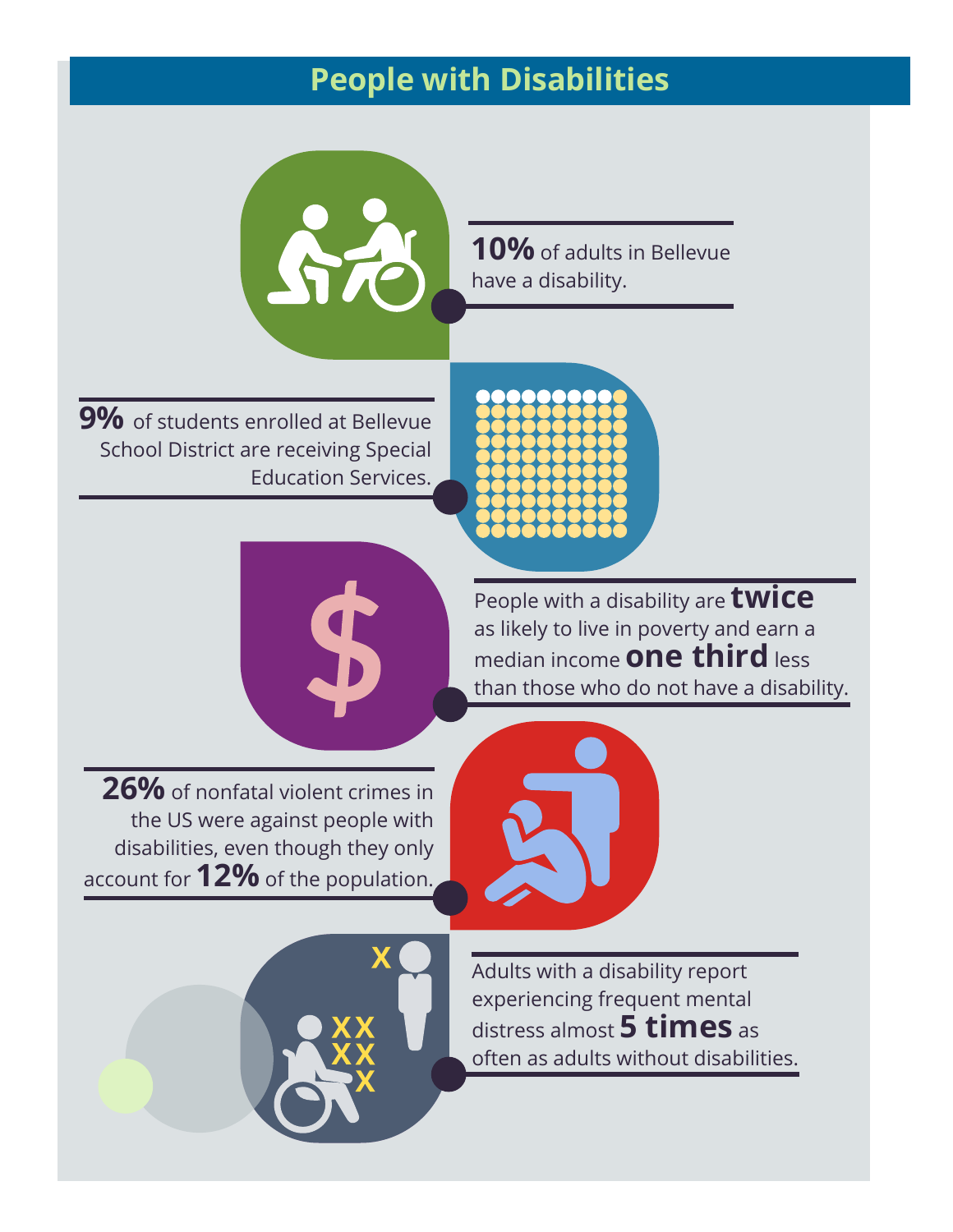#### **People with Disabilities**



**9%** of students enrolled at Bellevue School District are receiving Special Education Services.



have a disability.

**10%** of adults in Bellevue



People with a disability are **twice** as likely to live in poverty and earn a median income **one third** less than those who do not have a disability.

**26%** of nonfatal violent crimes in the US were against people with disabilities, even though they only account for **12%** of the population.





Adults with a disability report experiencing frequent mental distress almost **5 times** as often as adults without disabilities.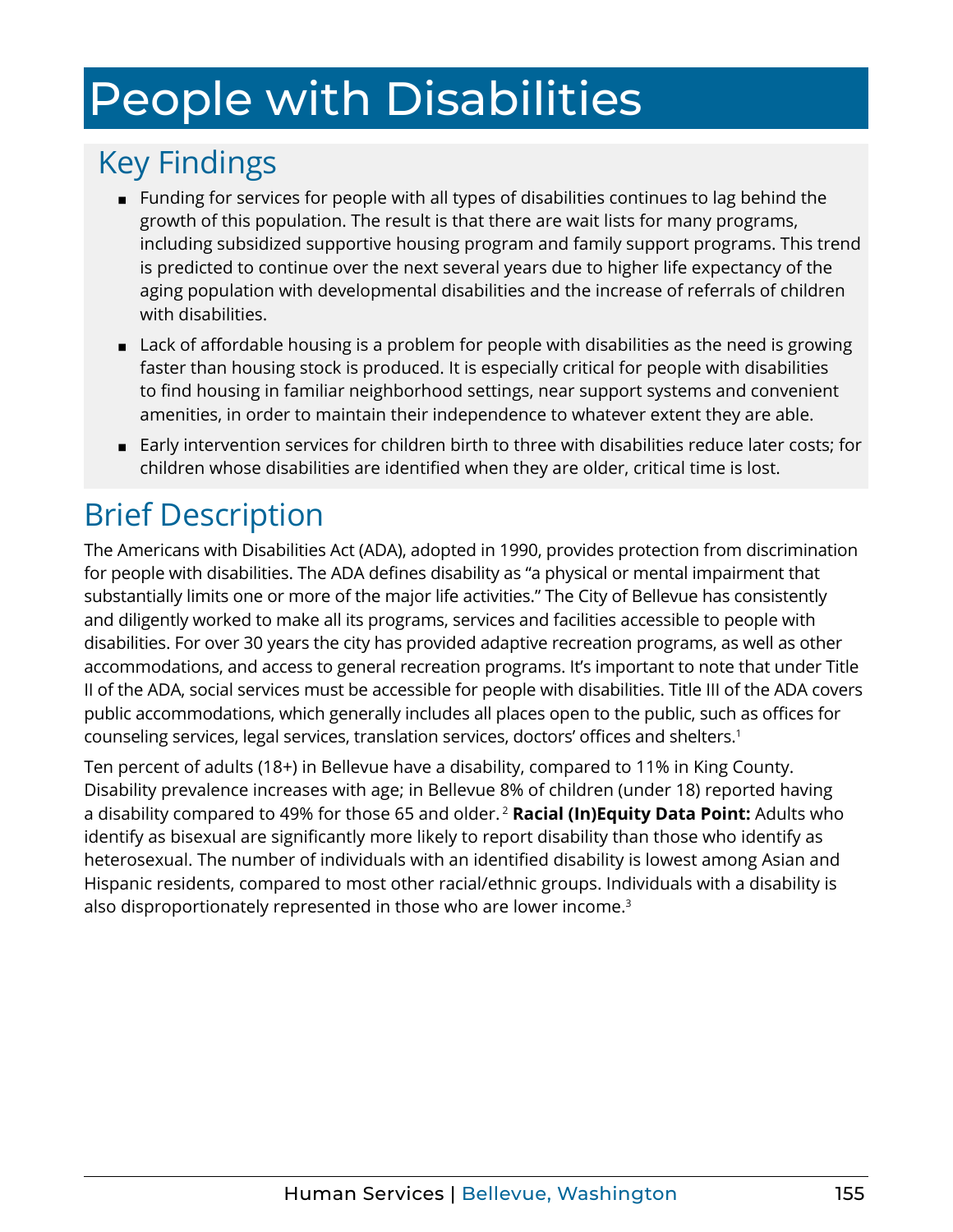# <span id="page-1-0"></span>People with Disabilities

#### Key Findings

- Funding for services for people with all types of disabilities continues to lag behind the growth of this population. The result is that there are wait lists for many programs, including subsidized supportive housing program and family support programs. This trend is predicted to continue over the next several years due to higher life expectancy of the aging population with developmental disabilities and the increase of referrals of children with disabilities.
- Lack of affordable housing is a problem for people with disabilities as the need is growing faster than housing stock is produced. It is especially critical for people with disabilities to find housing in familiar neighborhood settings, near support systems and convenient amenities, in order to maintain their independence to whatever extent they are able.
- Early intervention services for children birth to three with disabilities reduce later costs; for children whose disabilities are identified when they are older, critical time is lost.

### Brief Description

The [Americans with Disabilities Act](https://www.ada.gov/) (ADA), adopted in 1990, provides protection from discrimination for people with disabilities. The ADA defines disability as "a physical or mental impairment that substantially limits one or more of the major life activities." The City of Bellevue has consistently and diligently worked to make all its programs, services and facilities accessible to people with disabilities. For over 30 years the city has provided adaptive recreation programs, as well as other accommodations, and access to general recreation programs. It's important to note that under Title II of the ADA, social services must be accessible for people with disabilities. Title III of the ADA covers public accommodations, which generally includes all places open to the public, such as offices for counseling services, legal services, translation services, doctors' offices and shelters.[1](#page-9-0)

Ten percent of adults (18+) in Bellevue have a disability, compared to 11% in King County. Disability prevalence increases with age; in Bellevue 8% of children (under 18) reported having a disability compared to 49% for those 65 and older. [2](#page-9-0) **Racial (In)Equity Data Point:** Adults who identify as bisexual are significantly more likely to report disability than those who identify as heterosexual. The number of individuals with an identified disability is lowest among Asian and Hispanic residents, compared to most other racial/ethnic groups. Individuals with a disability is also disproportionately represented in those who are lower income.<sup>3</sup>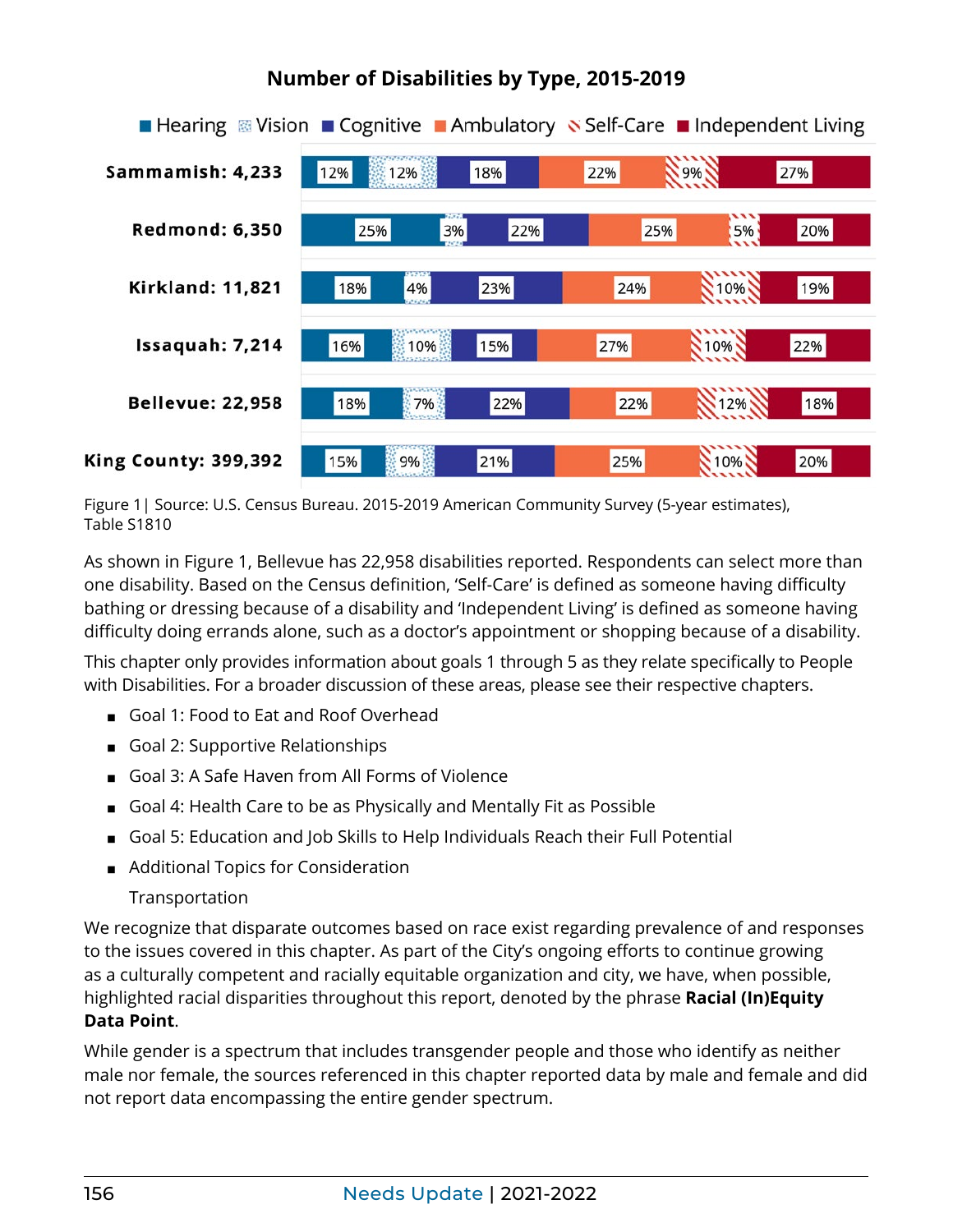

#### **Number of Disabilities by Type, 2015-2019**

Figure 1| Source: U.S. Census Bureau. 2015-2019 American Community Survey (5-year estimates), Table S1810

As shown in Figure 1, Bellevue has 22,958 disabilities reported. Respondents can select more than one disability. Based on the Census definition, 'Self-Care' is defined as someone having difficulty bathing or dressing because of a disability and 'Independent Living' is defined as someone having difficulty doing errands alone, such as a doctor's appointment or shopping because of a disability.

This chapter only provides information about goals 1 through 5 as they relate specifically to People with Disabilities. For a broader discussion of these areas, please see their respective chapters.

- Goal 1: Food to Eat and Roof Overhead
- Goal 2: Supportive Relationships
- Goal 3: A Safe Haven from All Forms of Violence
- Goal 4: Health Care to be as Physically and Mentally Fit as Possible
- Goal 5: Education and Job Skills to Help Individuals Reach their Full Potential
- Additional Topics for Consideration
	- Transportation

We recognize that disparate outcomes based on race exist regarding prevalence of and responses to the issues covered in this chapter. As part of the City's ongoing efforts to continue growing as a culturally competent and racially equitable organization and city, we have, when possible, highlighted racial disparities throughout this report, denoted by the phrase **Racial (In)Equity Data Point**.

While gender is a spectrum that includes transgender people and those who identify as neither male nor female, the sources referenced in this chapter reported data by male and female and did not report data encompassing the entire gender spectrum.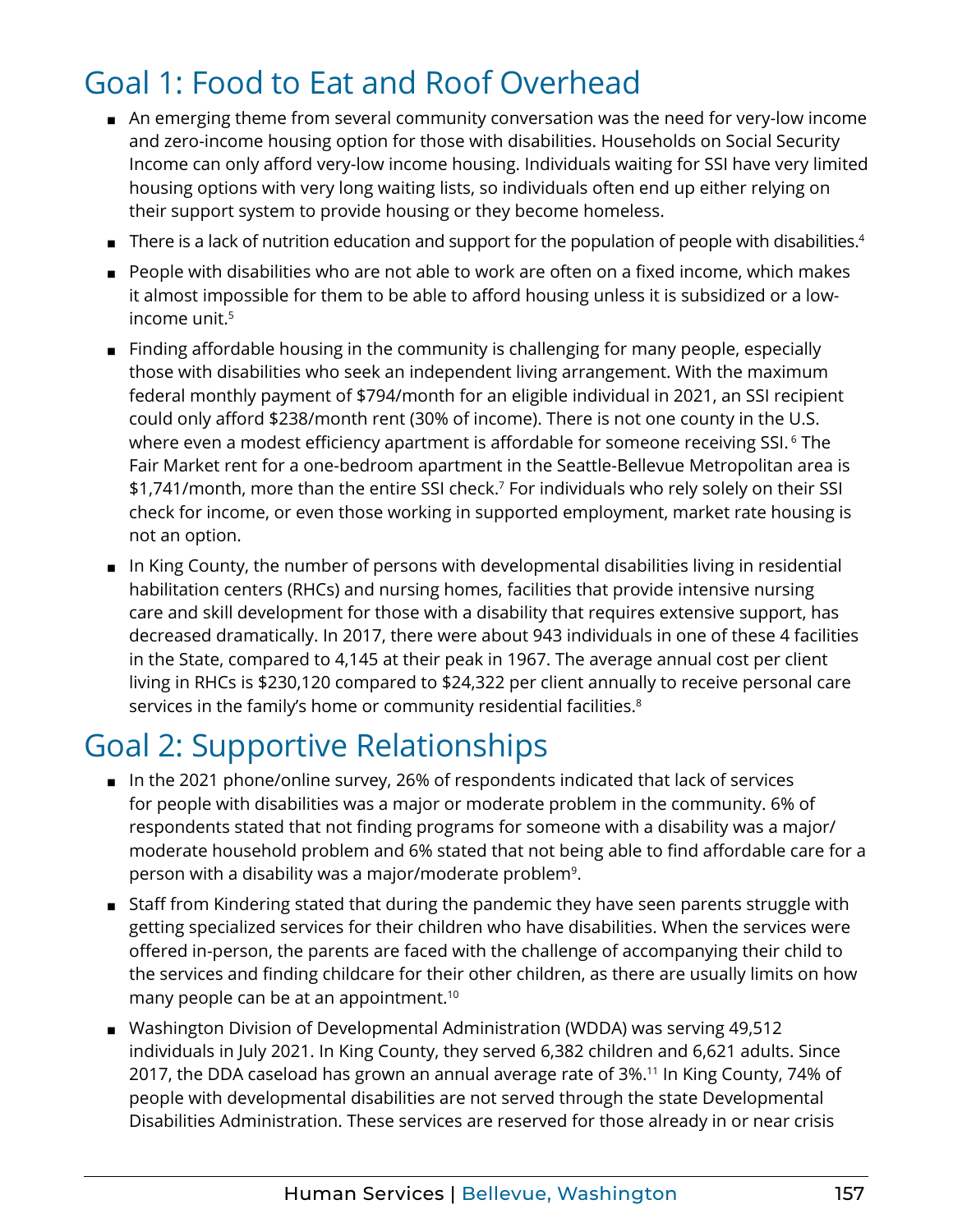#### <span id="page-3-0"></span>Goal 1: Food to Eat and Roof Overhead

- An emerging theme from several community conversation was the need for very-low income and zero-income housing option for those with disabilities. Households on Social Security Income can only afford very-low income housing. Individuals waiting for SSI have very limited housing options with very long waiting lists, so individuals often end up either relying on their support system to provide housing or they become homeless.
- $\blacksquare$  There is a lack of nutrition education and support for the population of people with disabilities.<sup>4</sup>
- People with disabilities who are not able to work are often on a fixed income, which makes it almost impossible for them to be able to afford housing unless it is subsidized or a low-income unit.<sup>[5](#page-9-0)</sup>
- Finding affordable housing in the community is challenging for many people, especially those with disabilities who seek an independent living arrangement. With the maximum federal monthly payment of \$794/month for an eligible individual in 2021, an SSI recipient could only afford \$238/month rent (30% of income). There is not one county in the U.S. where even a modest efficiency apartment is affordable for someone receiving SSI.<sup>[6](#page-9-0)</sup> The Fair Market rent for a one-bedroom apartment in the Seattle-Bellevue Metropolitan area is \$1,[7](#page-9-0)41/month, more than the entire SSI check.<sup>7</sup> For individuals who rely solely on their SSI check for income, or even those working in supported employment, market rate housing is not an option.
- In King County, the number of persons with developmental disabilities living in residential habilitation centers (RHCs) and nursing homes, facilities that provide intensive nursing care and skill development for those with a disability that requires extensive support, has decreased dramatically. In 2017, there were about 943 individuals in one of these 4 facilities in the State, compared to 4,145 at their peak in 1967. The average annual cost per client living in RHCs is \$230,120 compared to \$24,322 per client annually to receive personal care services in the family's home or community residential facilities.<sup>[8](#page-9-0)</sup>

### Goal 2: Supportive Relationships

- In the 2021 phone/online survey, 26% of respondents indicated that lack of services for people with disabilities was a major or moderate problem in the community. 6% of respondents stated that not finding programs for someone with a disability was a major/ moderate household problem and 6% stated that not being able to find affordable care for a person with a disability was a major/moderate problem<sup>9</sup>.
- Staff from Kindering stated that during the pandemic they have seen parents struggle with getting specialized services for their children who have disabilities. When the services were offered in-person, the parents are faced with the challenge of accompanying their child to the services and finding childcare for their other children, as there are usually limits on how many people can be at an appointment.<sup>[10](#page-9-0)</sup>
- Washington Division of Developmental Administration (WDDA) was serving 49,512 individuals in July 2021. In King County, they served 6,382 children and 6,621 adults. Since 2017, the DDA caseload has grown an annual average rate of 3%.<sup>[11](#page-9-0)</sup> In King County, 74% of people with developmental disabilities are not served through the state Developmental Disabilities Administration. These services are reserved for those already in or near crisis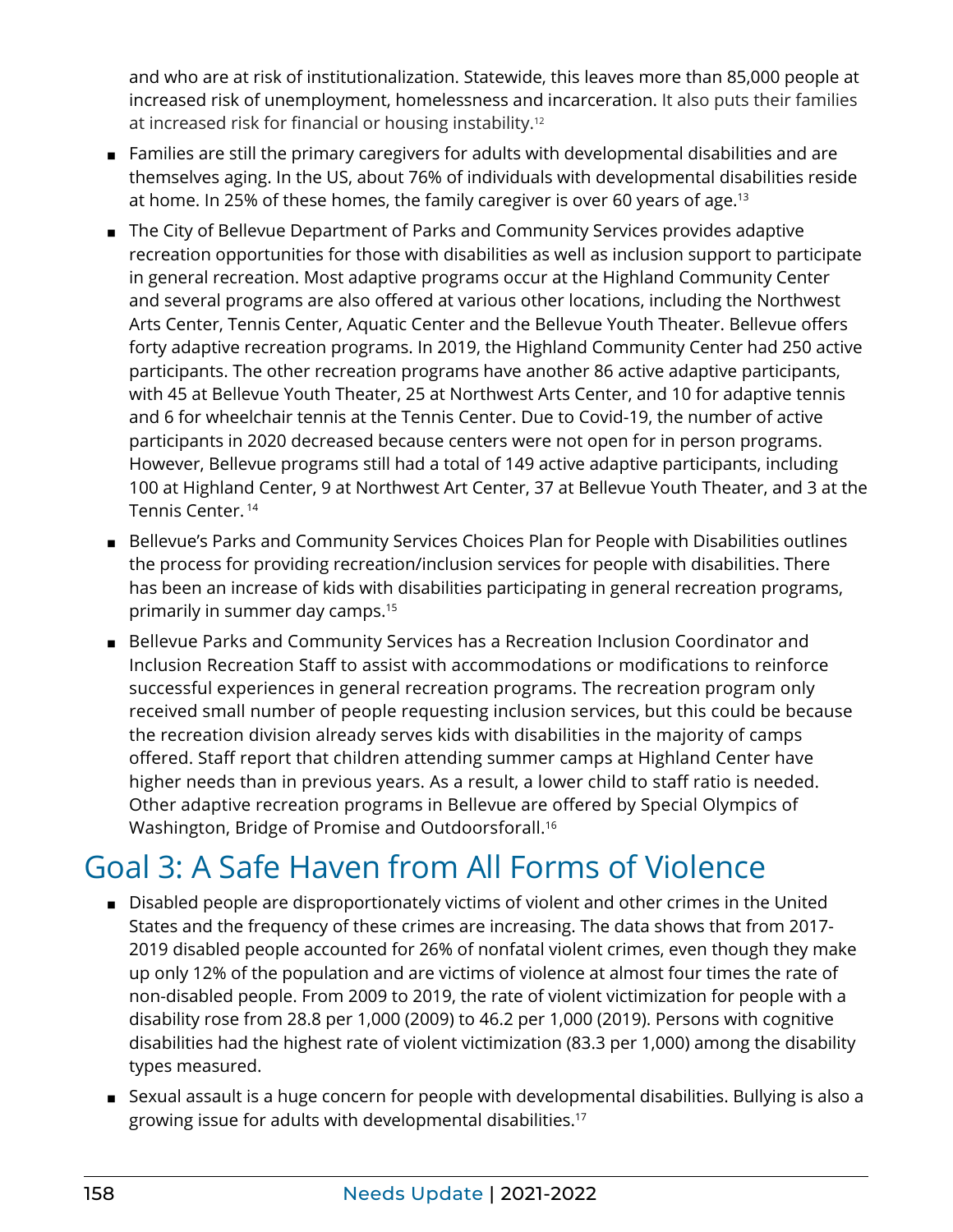<span id="page-4-0"></span>and who are at risk of institutionalization. Statewide, this leaves more than 85,000 people at increased risk of unemployment, homelessness and incarceration. It also puts their families at increased risk for financial or housing instability.[12](#page-9-0)

- Families are still the primary caregivers for adults with developmental disabilities and are themselves aging. In the US, about 76% of individuals with developmental disabilities reside at home. In 25% of these homes, the family caregiver is over 60 years of age.<sup>13</sup>
- The City of Bellevue Department of Parks and Community Services provides adaptive recreation opportunities for those with disabilities as well as inclusion support to participate in general recreation. Most adaptive programs occur at the Highland Community Center and several programs are also offered at various other locations, including the Northwest Arts Center, Tennis Center, Aquatic Center and the Bellevue Youth Theater. Bellevue offers forty adaptive recreation programs. In 2019, the Highland Community Center had 250 active participants. The other recreation programs have another 86 active adaptive participants, with 45 at Bellevue Youth Theater, 25 at Northwest Arts Center, and 10 for adaptive tennis and 6 for wheelchair tennis at the Tennis Center. Due to Covid-19, the number of active participants in 2020 decreased because centers were not open for in person programs. However, Bellevue programs still had a total of 149 active adaptive participants, including 100 at Highland Center, 9 at Northwest Art Center, 37 at Bellevue Youth Theater, and 3 at the Tennis Center. [14](#page-9-0)
- Bellevue's Parks and Community Services Choices Plan for People with Disabilities outlines the process for providing recreation/inclusion services for people with disabilities. There has been an increase of kids with disabilities participating in general recreation programs, primarily in summer day camps.[15](#page-9-0)
- Bellevue Parks and Community Services has a Recreation Inclusion Coordinator and Inclusion Recreation Staff to assist with accommodations or modifications to reinforce successful experiences in general recreation programs. The recreation program only received small number of people requesting inclusion services, but this could be because the recreation division already serves kids with disabilities in the majority of camps offered. Staff report that children attending summer camps at Highland Center have higher needs than in previous years. As a result, a lower child to staff ratio is needed. Other adaptive recreation programs in Bellevue are offered by Special Olympics of Washington, Bridge of Promise and Outdoorsforall[.16](#page-9-0)

#### Goal 3: A Safe Haven from All Forms of Violence

- Disabled people are disproportionately victims of violent and other crimes in the United States and the frequency of these crimes are increasing. The data shows that from 2017- 2019 disabled people accounted for 26% of nonfatal violent crimes, even though they make up only 12% of the population and are victims of violence at almost four times the rate of non-disabled people. From 2009 to 2019, the rate of violent victimization for people with a disability rose from 28.8 per 1,000 (2009) to 46.2 per 1,000 (2019). Persons with cognitive disabilities had the highest rate of violent victimization (83.3 per 1,000) among the disability types measured.
- Sexual assault is a huge concern for people with developmental disabilities. Bullying is also a growing issue for adults with developmental disabilities.[17](#page-9-0)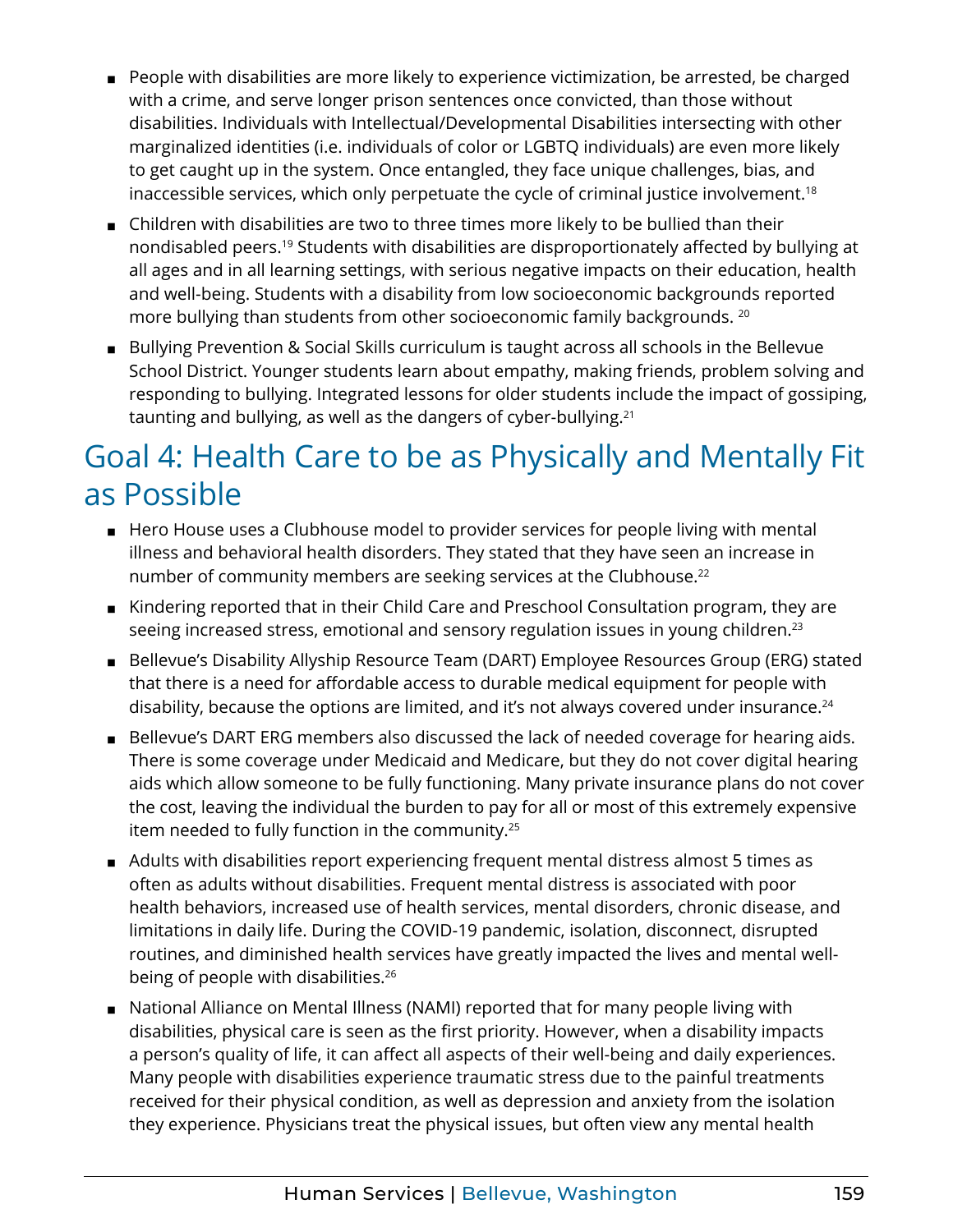- <span id="page-5-0"></span>■ People with disabilities are more likely to experience victimization, be arrested, be charged with a crime, and serve longer prison sentences once convicted, than those without disabilities. Individuals with Intellectual/Developmental Disabilities intersecting with other marginalized identities (i.e. individuals of color or LGBTQ individuals) are even more likely to get caught up in the system. Once entangled, they face unique challenges, bias, and inaccessible services, which only perpetuate the cycle of criminal justice involvement.<sup>[18](#page-9-0)</sup>
- Children with disabilities are two to three times more likely to be bullied than their nondisabled peers[.19](#page-9-0) Students with disabilities are disproportionately affected by bullying at all ages and in all learning settings, with serious negative impacts on their education, health and well-being. Students with a disability from low socioeconomic backgrounds reported more bullying than students from other socioeconomic family backgrounds. [20](#page-9-0)
- Bullying Prevention & Social Skills curriculum is taught across all schools in the Bellevue School District. Younger students learn about empathy, making friends, problem solving and responding to bullying. Integrated lessons for older students include the impact of gossiping, taunting and bullying, as well as the dangers of cyber-bullying.[21](#page-9-0)

#### Goal 4: Health Care to be as Physically and Mentally Fit as Possible

- Hero House uses a Clubhouse model to provider services for people living with mental illness and behavioral health disorders. They stated that they have seen an increase in number of community members are seeking services at the Clubhouse.<sup>[22](#page-9-0)</sup>
- Kindering reported that in their Child Care and Preschool Consultation program, they are seeing increased stress, emotional and sensory regulation issues in young children.<sup>[23](#page-10-0)</sup>
- Bellevue's Disability Allyship Resource Team (DART) Employee Resources Group (ERG) stated that there is a need for affordable access to durable medical equipment for people with disability, because the options are limited, and it's not always covered under insurance.<sup>24</sup>
- Bellevue's DART ERG members also discussed the lack of needed coverage for hearing aids. There is some coverage under Medicaid and Medicare, but they do not cover digital hearing aids which allow someone to be fully functioning. Many private insurance plans do not cover the cost, leaving the individual the burden to pay for all or most of this extremely expensive item needed to fully function in the community.[25](#page-10-0)
- Adults with disabilities report experiencing frequent mental distress almost 5 times as often as adults without disabilities. Frequent mental distress is associated with poor health behaviors, increased use of health services, mental disorders, chronic disease, and limitations in daily life. During the COVID-19 pandemic, isolation, disconnect, disrupted routines, and diminished health services have greatly impacted the lives and mental wellbeing of people with disabilities.<sup>26</sup>
- National Alliance on Mental Illness (NAMI) reported that for many people living with disabilities, physical care is seen as the first priority. However, when a disability impacts a person's quality of life, it can affect all aspects of their well-being and daily experiences. Many people with disabilities experience traumatic stress due to the painful treatments received for their physical condition, as well as depression and anxiety from the isolation they experience. Physicians treat the physical issues, but often view any mental health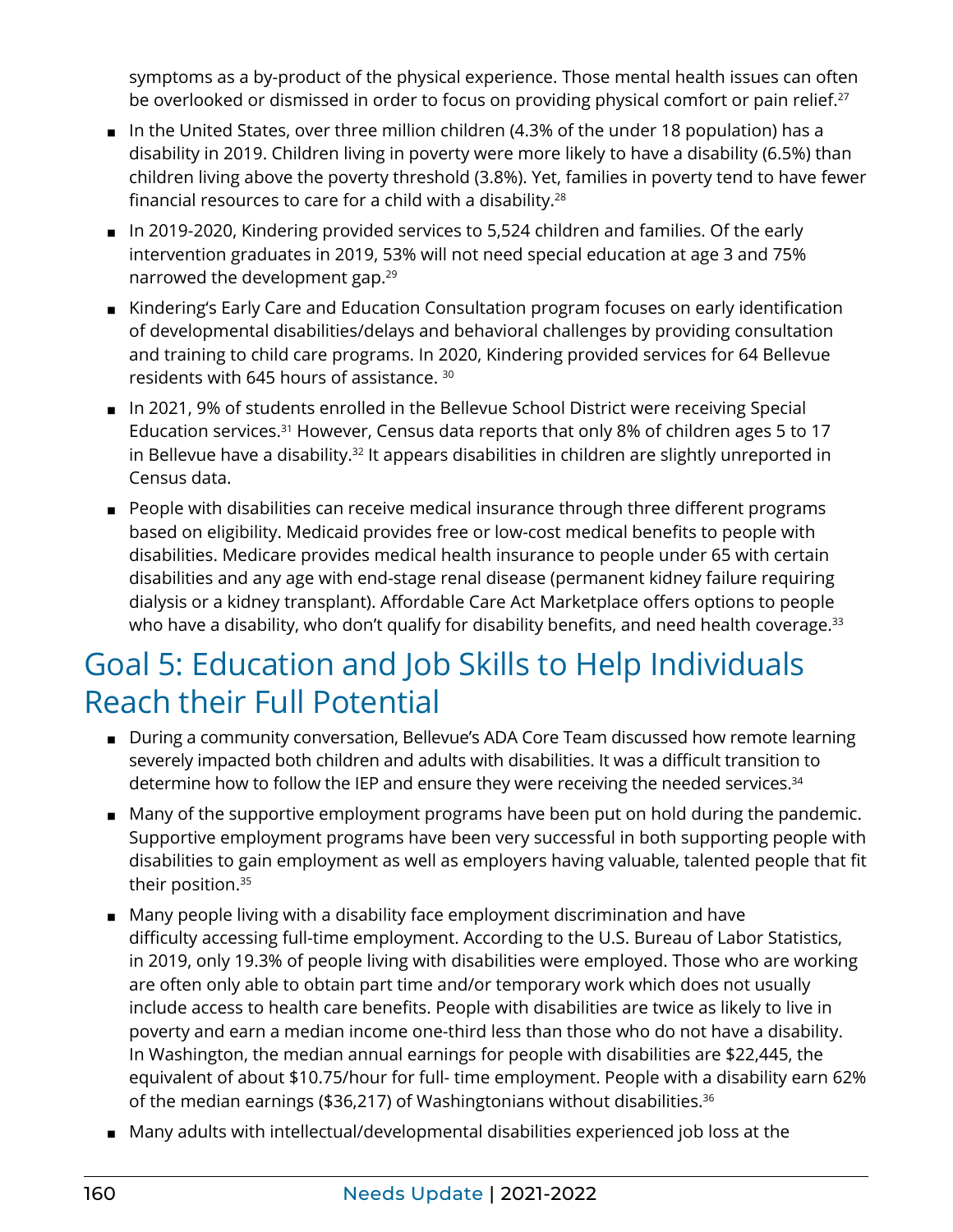<span id="page-6-0"></span>symptoms as a by-product of the physical experience. Those mental health issues can often be overlooked or dismissed in order to focus on providing physical comfort or pain relief.<sup>[27](#page-10-0)</sup>

- In the United States, over three million children (4.3% of the under 18 population) has a disability in 2019. Children living in poverty were more likely to have a disability (6.5%) than children living above the poverty threshold (3.8%). Yet, families in poverty tend to have fewer financial resources to care for a child with a disability.[28](#page-10-0)
- In 2019-2020, Kindering provided services to 5,524 children and families. Of the early intervention graduates in 2019, 53% will not need special education at age 3 and 75% narrowed the development gap.[29](#page-10-0)
- Kindering's Early Care and Education Consultation program focuses on early identification of developmental disabilities/delays and behavioral challenges by providing consultation and training to child care programs. In 2020, Kindering provided services for 64 Bellevue residents with 645 hours of assistance. [30](#page-10-0)
- In 2021, 9% of students enrolled in the Bellevue School District were receiving Special Education services.<sup>[31](#page-10-0)</sup> However, Census data reports that only 8% of children ages 5 to 17 in Bellevue have a disability.<sup>32</sup> It appears disabilities in children are slightly unreported in Census data.
- People with disabilities can receive medical insurance through three different programs based on eligibility. Medicaid provides free or low-cost medical benefits to people with disabilities. Medicare provides medical health insurance to people under 65 with certain disabilities and any age with end-stage renal disease (permanent kidney failure requiring dialysis or a kidney transplant). Affordable Care Act Marketplace offers options to people who have a disability, who don't qualify for disability benefits, and need health coverage.<sup>[33](#page-10-0)</sup>

#### Goal 5: Education and Job Skills to Help Individuals Reach their Full Potential

- During a community conversation, Bellevue's ADA Core Team discussed how remote learning severely impacted both children and adults with disabilities. It was a difficult transition to determine how to follow the IEP and ensure they were receiving the needed services.<sup>[34](#page-10-0)</sup>
- Many of the supportive employment programs have been put on hold during the pandemic. Supportive employment programs have been very successful in both supporting people with disabilities to gain employment as well as employers having valuable, talented people that fit their position.<sup>35</sup>
- Many people living with a disability face employment discrimination and have difficulty accessing full-time employment. According to the U.S. Bureau of Labor Statistics, in 2019, only 19.3% of people living with disabilities were employed. Those who are working are often only able to obtain part time and/or temporary work which does not usually include access to health care benefits. People with disabilities are twice as likely to live in poverty and earn a median income one-third less than those who do not have a disability. In Washington, the median annual earnings for people with disabilities are \$22,445, the equivalent of about \$10.75/hour for full- time employment. People with a disability earn 62% of the median earnings (\$36,217) of Washingtonians without disabilities.[36](#page-10-0)
- Many adults with intellectual/developmental disabilities experienced job loss at the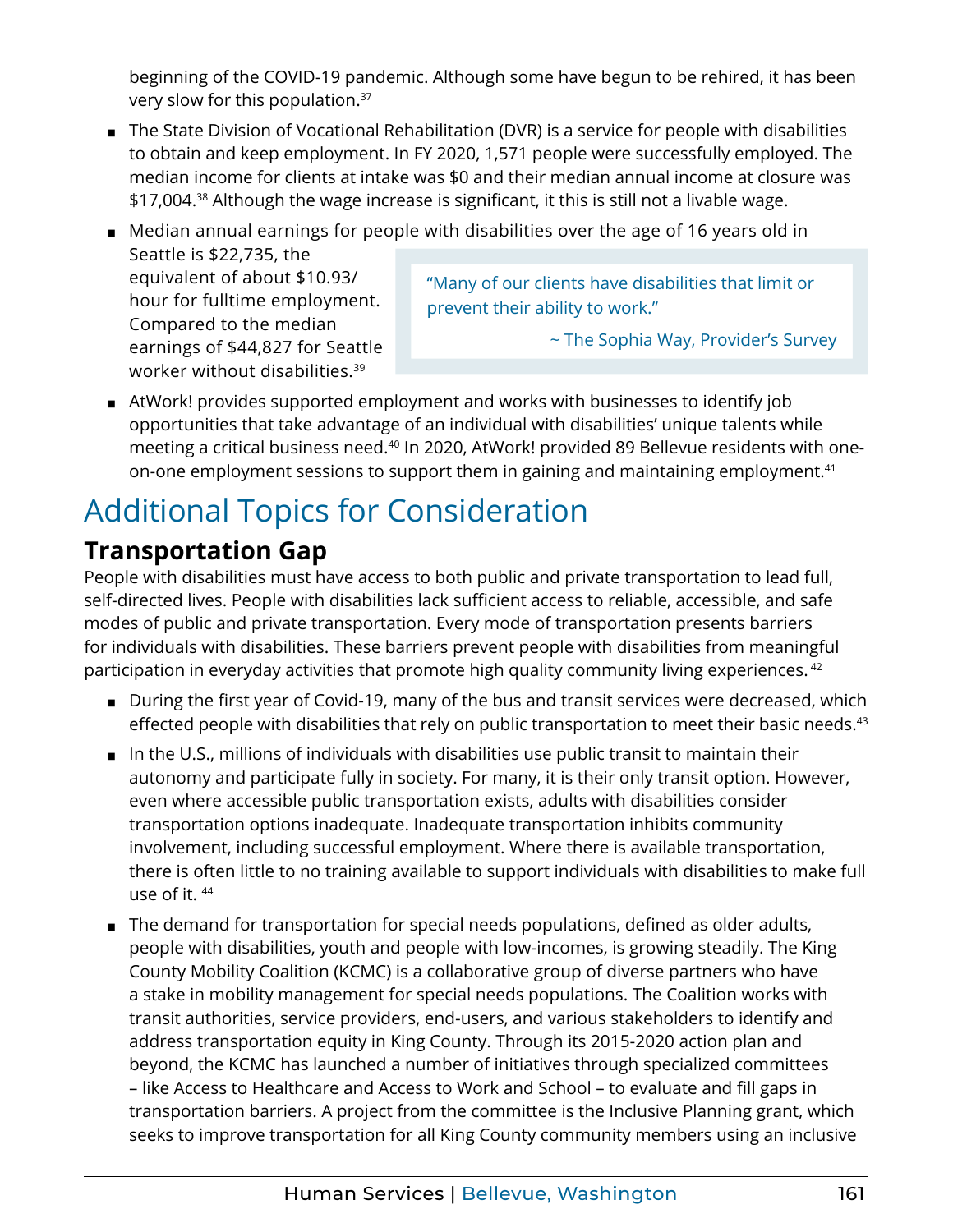<span id="page-7-0"></span>beginning of the COVID-19 pandemic. Although some have begun to be rehired, it has been very slow for this population.[37](#page-10-0)

- The State Division of Vocational Rehabilitation (DVR) is a service for people with disabilities to obtain and keep employment. In FY 2020, 1,571 people were successfully employed. The median income for clients at intake was \$0 and their median annual income at closure was \$17,004.<sup>38</sup> Although the wage increase is significant, it this is still not a livable wage.
- Median annual earnings for people with disabilities over the age of 16 years old in Seattle is \$22,735, the

equivalent of about \$10.93/ hour for fulltime employment. Compared to the median earnings of \$44,827 for Seattle worker without disabilities[.39](#page-10-0)

"Many of our clients have disabilities that limit or prevent their ability to work."

~ The Sophia Way, Provider's Survey

■ AtWork! provides supported employment and works with businesses to identify job opportunities that take advantage of an individual with disabilities' unique talents while meeting a critical business need.[40](#page-10-0) In 2020, AtWork! provided 89 Bellevue residents with oneon-one employment sessions to support them in gaining and maintaining employment.<sup>41</sup>

## Additional Topics for Consideration

#### **Transportation Gap**

People with disabilities must have access to both public and private transportation to lead full, self-directed lives. People with disabilities lack sufficient access to reliable, accessible, and safe modes of public and private transportation. Every mode of transportation presents barriers for individuals with disabilities. These barriers prevent people with disabilities from meaningful participation in everyday activities that promote high quality community living experiences.<sup>[42](#page-10-0)</sup>

- During the first year of Covid-19, many of the bus and transit services were decreased, which effected people with disabilities that rely on public transportation to meet their basic needs.<sup>[43](#page-10-0)</sup>
- In the U.S., millions of individuals with disabilities use public transit to maintain their autonomy and participate fully in society. For many, it is their only transit option. However, even where accessible public transportation exists, adults with disabilities consider transportation options inadequate. Inadequate transportation inhibits community involvement, including successful employment. Where there is available transportation, there is often little to no training available to support individuals with disabilities to make full use of it. [44](#page-10-0)
- The demand for transportation for special needs populations, defined as older adults, people with disabilities, youth and people with low-incomes, is growing steadily. The King County Mobility Coalition (KCMC) is a collaborative group of diverse partners who have a stake in mobility management for special needs populations. The Coalition works with transit authorities, service providers, end-users, and various stakeholders to identify and address transportation equity in King County. Through its 2015-2020 action plan and beyond, the KCMC has launched a number of initiatives through specialized committees – like Access to Healthcare and Access to Work and School – to evaluate and fill gaps in transportation barriers. A project from the committee is the Inclusive Planning grant, which seeks to improve transportation for all King County community members using an inclusive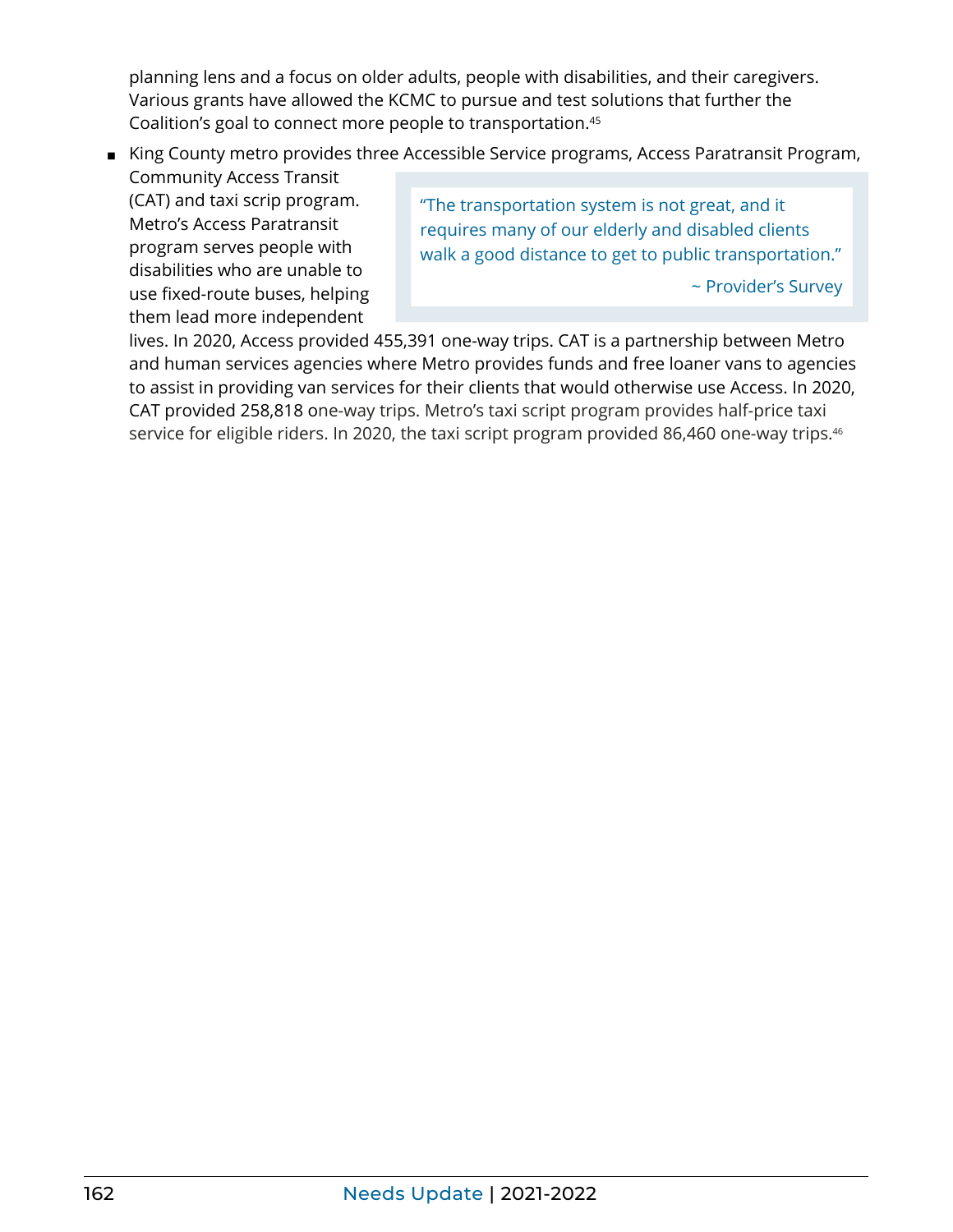<span id="page-8-0"></span>planning lens and a focus on older adults, people with disabilities, and their caregivers. Various grants have allowed the KCMC to pursue and test solutions that further the Coalition's goal to connect more people to transportation.[45](#page-10-0)

■ King County metro provides three Accessible Service programs, Access Paratransit Program,

Community Access Transit (CAT) and taxi scrip program. Metro's Access Paratransit program serves people with disabilities who are unable to use fixed-route buses, helping them lead more independent

"The transportation system is not great, and it requires many of our elderly and disabled clients walk a good distance to get to public transportation."

~ Provider's Survey

lives. In 2020, Access provided 455,391 one-way trips. CAT is a partnership between Metro and human services agencies where Metro provides funds and free loaner vans to agencies to assist in providing van services for their clients that would otherwise use Access. In 2020, CAT provided 258,818 one-way trips. Metro's taxi script program provides half-price taxi service for eligible riders. In 2020, the taxi script program provided 86,460 one-way trips.<sup>46</sup>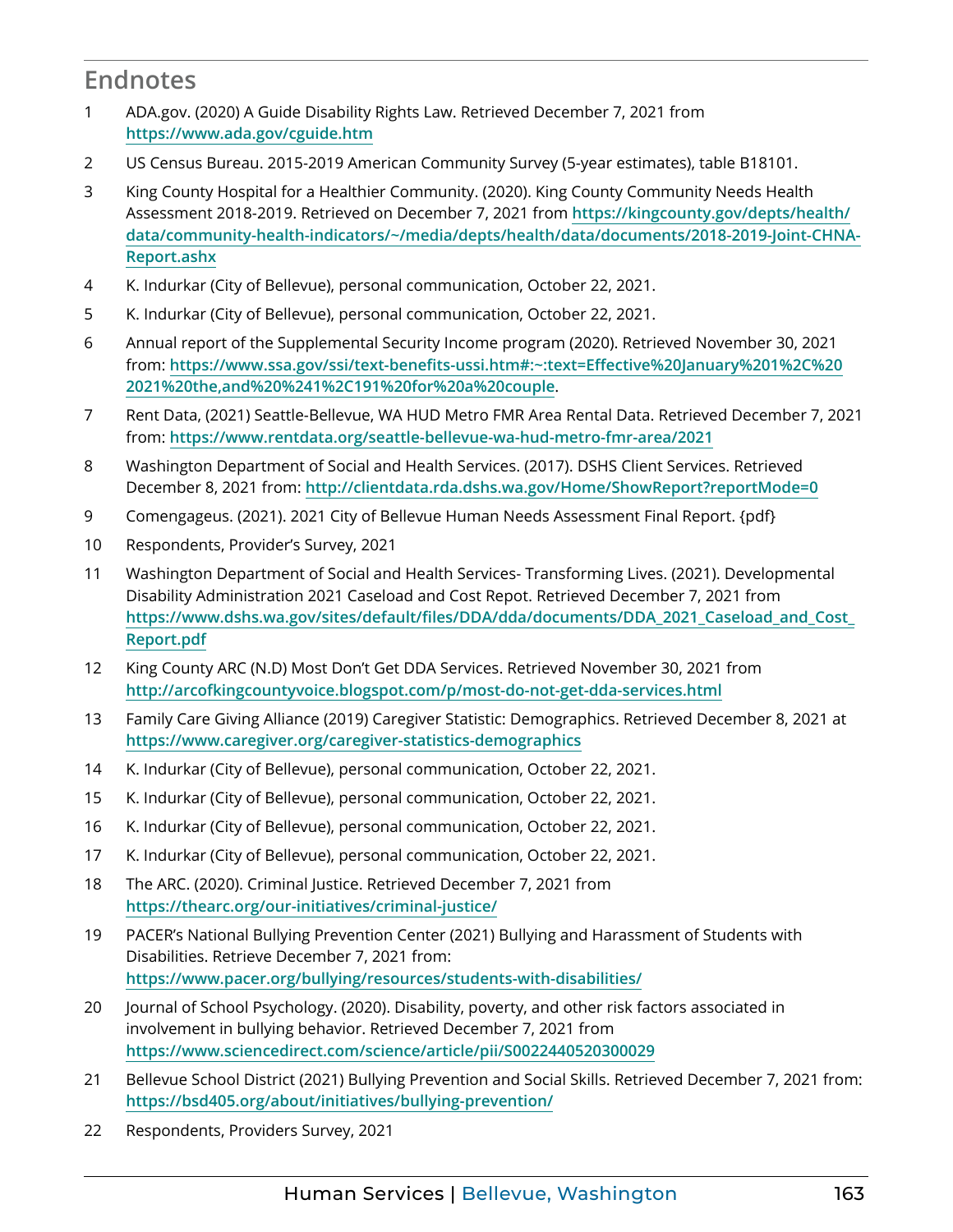#### <span id="page-9-0"></span>**Endnotes**

- [1](#page-1-0) ADA.gov. (2020) A Guide Disability Rights Law. Retrieved December 7, 2021 from **<https://www.ada.gov/cguide.htm>**
- [2](#page-1-0) US Census Bureau. 2015-2019 American Community Survey (5-year estimates), table B18101.
- [3](#page-1-0) King County Hospital for a Healthier Community. (2020). King County Community Needs Health Assessment 2018-2019. Retrieved on December 7, 2021 from **[https://kingcounty.gov/depts/health/](https://kingcounty.gov/depts/health/data/community-health-indicators/~/media/depts/health/data/docum) [data/community-health-indicators/~/media/depts/health/data/documents/2018-2019-Joint-CHNA-](https://kingcounty.gov/depts/health/data/community-health-indicators/~/media/depts/health/data/docum)[Report.ashx](https://kingcounty.gov/depts/health/data/community-health-indicators/~/media/depts/health/data/docum)**
- [4](#page-3-0) K. Indurkar (City of Bellevue), personal communication, October 22, 2021.
- [5](#page-3-0) K. Indurkar (City of Bellevue), personal communication, October 22, 2021.
- [6](#page-3-0) Annual report of the Supplemental Security Income program (2020). Retrieved November 30, 2021 from: **[https://www.ssa.gov/ssi/text-benefits-ussi.htm#:~:text=Effective%20January%201%2C%20](https://www.ssa.gov/ssi/text-benefits-ussi.htm#:~:text=Effective January 1%2C 2021 the,and %241%2C191 for a couple) [2021%20the,and%20%241%2C191%20for%20a%20couple](https://www.ssa.gov/ssi/text-benefits-ussi.htm#:~:text=Effective January 1%2C 2021 the,and %241%2C191 for a couple)**.
- [7](#page-3-0) Rent Data, (2021) Seattle-Bellevue, WA HUD Metro FMR Area Rental Data. Retrieved December 7, 2021 from: **<https://www.rentdata.org/seattle-bellevue-wa-hud-metro-fmr-area/2021>**
- [8](#page-3-0) Washington Department of Social and Health Services. (2017). DSHS Client Services. Retrieved December 8, 2021 from: **http[://clientdata.rda.dshs.wa.gov/Home/ShowReport?reportMode=0](http://clientdata.rda.dshs.wa.gov/Home/ShowReport?reportMode=0)**
- [9](#page-3-0) Comengageus. (2021). 2021 City of Bellevue Human Needs Assessment Final Report. {pdf}
- [10](#page-3-0) Respondents, Provider's Survey, 2021
- [11](#page-3-0) Washington Department of Social and Health Services- Transforming Lives. (2021). Developmental Disability Administration 2021 Caseload and Cost Repot. Retrieved December 7, 2021 from **https://www.dshs.wa.gov/sites/[default/files/DDA/dda/documents/DDA\\_2021\\_Caseload\\_and\\_Cost\\_](https://www.dshs.wa.gov/sites/default/files/DDA/dda/documents/DDA_2021_Caseload_and_Cost_Report.pdf) [Report.pdf](https://www.dshs.wa.gov/sites/default/files/DDA/dda/documents/DDA_2021_Caseload_and_Cost_Report.pdf)**
- [12](#page-4-0) King County ARC (N.D) Most Don't Get DDA Services. Retrieved November 30, 2021 from **<http://arcofkingcountyvoice.blogspot.com/p/most-do-not-get-dda-services.html>**
- [13](#page-4-0) Family Care Giving Alliance (2019) Caregiver Statistic: Demographics. Retrieved December 8, 2021 at **<https://www.caregiver.org/caregiver-statistics-demographics>**
- [14](#page-4-0) K. Indurkar (City of Bellevue), personal communication, October 22, 2021.
- [15](#page-4-0) K. Indurkar (City of Bellevue), personal communication, October 22, 2021.
- [16](#page-4-0) K. Indurkar (City of Bellevue), personal communication, October 22, 2021.
- [17](#page-4-0) K. Indurkar (City of Bellevue), personal communication, October 22, 2021.
- [18](#page-5-0) The ARC. (2020). Criminal Justice. Retrieved December 7, 2021 from **<https://thearc.org/our-initiatives/criminal-justice/>**
- [19](#page-5-0) PACER's National Bullying Prevention Center (2021) Bullying and Harassment of Students with Disabilities. Retrieve December 7, 2021 from: **<https://www.pacer.org/bullying/resources/students-with-disabilities/>**
- [20](#page-5-0) Journal of School Psychology. (2020). Disability, poverty, and other risk factors associated in involvement in bullying behavior. Retrieved December 7, 2021 from **https[://www.sciencedirect.com/science/article/pii/S0022440520300029](https://www.sciencedirect.com/science/article/pii/S0022440520300029)**
- [21](#page-5-0) Bellevue School District (2021) Bullying Prevention and Social Skills. Retrieved December 7, 2021 from: **<https://bsd405.org/about/initiatives/bullying-prevention/>**
- [22](#page-5-0) Respondents, Providers Survey, 2021